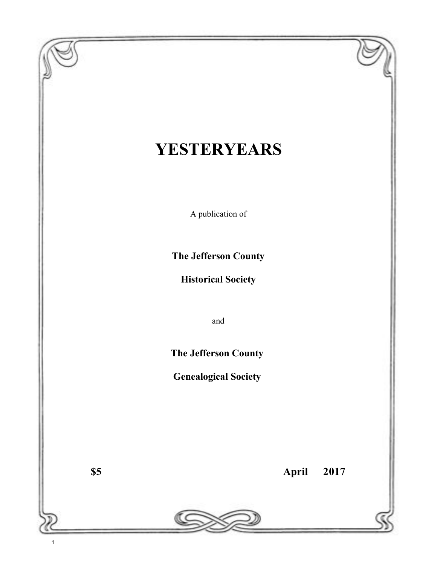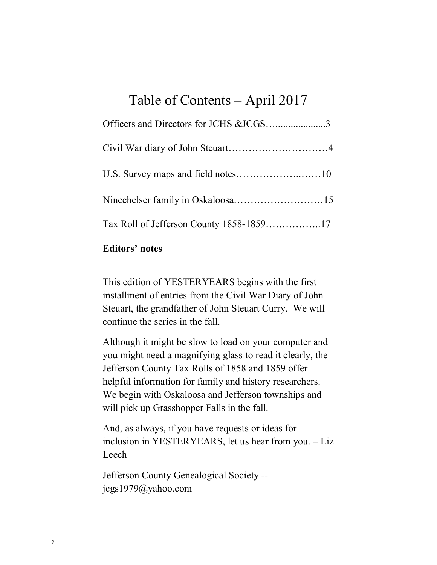# Table of Contents – April 2017

| Officers and Directors for JCHS &JCGS3 |  |
|----------------------------------------|--|
|                                        |  |
|                                        |  |
|                                        |  |
|                                        |  |

## **Editors' notes**

This edition of YESTERYEARS begins with the first installment of entries from the Civil War Diary of John Steuart, the grandfather of John Steuart Curry. We will continue the series in the fall.

Although it might be slow to load on your computer and you might need a magnifying glass to read it clearly, the Jefferson County Tax Rolls of 1858 and 1859 offer helpful information for family and history researchers. We begin with Oskaloosa and Jefferson townships and will pick up Grasshopper Falls in the fall.

And, as always, if you have requests or ideas for inclusion in YESTERYEARS, let us hear from you. – Liz Leech

Jefferson County Genealogical Society - [jcgs1979@yahoo.com](mailto:jcgs1979@yahoo.com)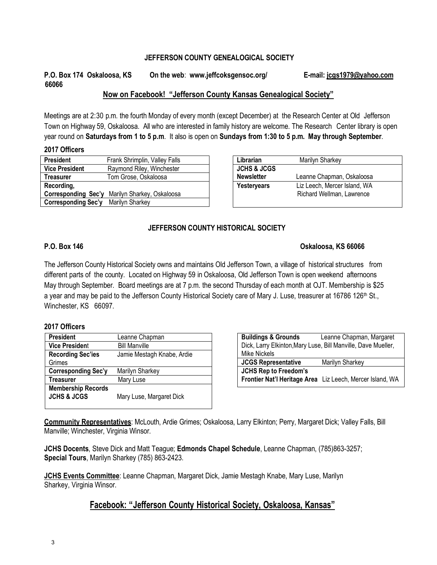#### **JEFFERSON COUNTY GENEALOGICAL SOCIETY**

### **P.O. Box 174 Oskaloosa, KS On the web**: **www.jeffcoksgensoc.org/ E-mail: [jcgs1979@yahoo.com](mailto:jcgs1979@yahoo.com) 66066**

#### **Now on Facebook! "Jefferson County Kansas Genealogical Society"**

Meetings are at 2:30 p.m. the fourth Monday of every month (except December) at the Research Center at Old Jefferson Town on Highway 59, Oskaloosa. All who are interested in family history are welcome. The Research Center library is open year round on **Saturdays from 1 to 5 p.m**. It also is open on **Sundays from 1:30 to 5 p.m. May through September**.

#### **2017 Officers**

| <b>President</b>      | Frank Shrimplin, Valley Falls |
|-----------------------|-------------------------------|
| <b>Vice President</b> | Raymond Riley, Winchester     |
| <b>Treasurer</b>      | Tom Grose, Oskaloosa          |
| Recording,            |                               |
| Corresponding Sec'y   | Marilyn Sharkey, Oskaloosa    |
| Corresponding Sec'y   | Marilyn Sharkey               |
|                       |                               |

| Librarian              | Marilyn Sharkey              |  |  |  |  |
|------------------------|------------------------------|--|--|--|--|
| <b>JCHS &amp; JCGS</b> |                              |  |  |  |  |
| <b>Newsletter</b>      | Leanne Chapman, Oskaloosa    |  |  |  |  |
| <b>Yesteryears</b>     | Liz Leech, Mercer Island, WA |  |  |  |  |
|                        | Richard Wellman, Lawrence    |  |  |  |  |
|                        |                              |  |  |  |  |

#### **JEFFERSON COUNTY HISTORICAL SOCIETY**

#### **P.O. Box 146 Oskaloosa, KS 66066**

#### The Jefferson County Historical Society owns and maintains Old Jefferson Town, a village of historical structures from different parts of the county. Located on Highway 59 in Oskaloosa, Old Jefferson Town is open weekend afternoons May through September. Board meetings are at 7 p.m. the second Thursday of each month at OJT. Membership is \$25 a year and may be paid to the Jefferson County Historical Society care of Mary J. Luse, treasurer at 16786 126<sup>th</sup> St., Winchester, KS 66097.

#### **2017 Officers**

| <b>President</b>           | Leanne Chapman             |
|----------------------------|----------------------------|
| <b>Vice President</b>      | <b>Bill Manville</b>       |
| <b>Recording Sec'ies</b>   | Jamie Mestagh Knabe, Ardie |
| Grimes                     |                            |
| <b>Corresponding Sec'y</b> | Marilyn Sharkey            |
| Treasurer                  | Mary Luse                  |
| <b>Membership Records</b>  |                            |
| <b>JCHS &amp; JCGS</b>     | Mary Luse, Margaret Dick   |
|                            |                            |

| <b>Buildings &amp; Grounds</b>                                | Leanne Chapman, Margaret                                  |  |  |  |
|---------------------------------------------------------------|-----------------------------------------------------------|--|--|--|
| Dick, Larry Elkinton, Mary Luse, Bill Manville, Dave Mueller, |                                                           |  |  |  |
| <b>Mike Nickels</b>                                           |                                                           |  |  |  |
| <b>JCGS Representative</b>                                    | Marilyn Sharkey                                           |  |  |  |
| <b>JCHS Rep to Freedom's</b>                                  |                                                           |  |  |  |
|                                                               | Frontier Nat'l Heritage Area Liz Leech, Mercer Island, WA |  |  |  |
|                                                               |                                                           |  |  |  |

**Community Representatives**: McLouth, Ardie Grimes; Oskaloosa, Larry Elkinton; Perry, Margaret Dick; Valley Falls, Bill Manville; Winchester, Virginia Winsor.

**JCHS Docents**, Steve Dick and Matt Teague; **Edmonds Chapel Schedule**, Leanne Chapman, (785)863-3257; **Special Tours**, Marilyn Sharkey (785) 863-2423.

**JCHS Events Committee**: Leanne Chapman, Margaret Dick, Jamie Mestagh Knabe, Mary Luse, Marilyn Sharkey, Virginia Winsor.

### **Facebook: "Jefferson County Historical Society, Oskaloosa, Kansas"**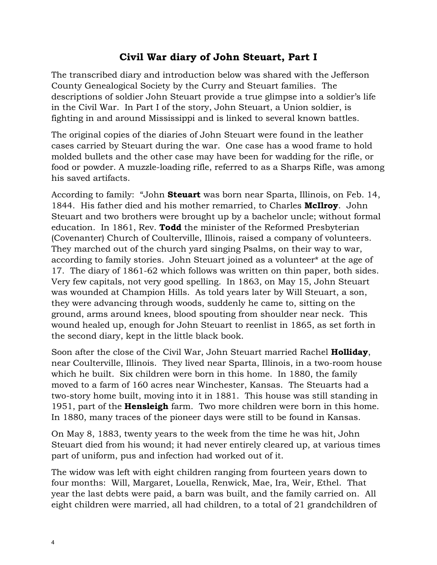## **Civil War diary of John Steuart, Part I**

The transcribed diary and introduction below was shared with the Jefferson County Genealogical Society by the Curry and Steuart families. The descriptions of soldier John Steuart provide a true glimpse into a soldier's life in the Civil War. In Part I of the story, John Steuart, a Union soldier, is fighting in and around Mississippi and is linked to several known battles.

The original copies of the diaries of John Steuart were found in the leather cases carried by Steuart during the war. One case has a wood frame to hold molded bullets and the other case may have been for wadding for the rifle, or food or powder. A muzzle-loading rifle, referred to as a Sharps Rifle, was among his saved artifacts.

According to family: "John **Steuart** was born near Sparta, Illinois, on Feb. 14, 1844. His father died and his mother remarried, to Charles **McIlroy**. John Steuart and two brothers were brought up by a bachelor uncle; without formal education. In 1861, Rev. **Todd** the minister of the Reformed Presbyterian (Covenanter) Church of Coulterville, Illinois, raised a company of volunteers. They marched out of the church yard singing Psalms, on their way to war, according to family stories. John Steuart joined as a volunteer\* at the age of 17. The diary of 1861-62 which follows was written on thin paper, both sides. Very few capitals, not very good spelling. In 1863, on May 15, John Steuart was wounded at Champion Hills. As told years later by Will Steuart, a son, they were advancing through woods, suddenly he came to, sitting on the ground, arms around knees, blood spouting from shoulder near neck. This wound healed up, enough for John Steuart to reenlist in 1865, as set forth in the second diary, kept in the little black book.

Soon after the close of the Civil War, John Steuart married Rachel **Holliday**, near Coulterville, Illinois. They lived near Sparta, Illinois, in a two-room house which he built. Six children were born in this home. In 1880, the family moved to a farm of 160 acres near Winchester, Kansas. The Steuarts had a two-story home built, moving into it in 1881. This house was still standing in 1951, part of the **Hensleigh** farm. Two more children were born in this home. In 1880, many traces of the pioneer days were still to be found in Kansas.

On May 8, 1883, twenty years to the week from the time he was hit, John Steuart died from his wound; it had never entirely cleared up, at various times part of uniform, pus and infection had worked out of it.

The widow was left with eight children ranging from fourteen years down to four months: Will, Margaret, Louella, Renwick, Mae, Ira, Weir, Ethel. That year the last debts were paid, a barn was built, and the family carried on. All eight children were married, all had children, to a total of 21 grandchildren of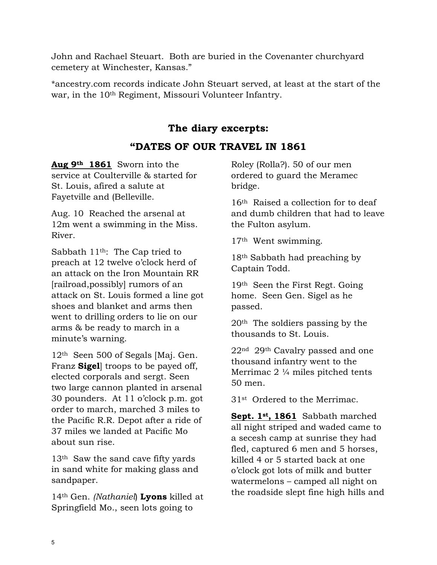John and Rachael Steuart. Both are buried in the Covenanter churchyard cemetery at Winchester, Kansas."

\*ancestry.com records indicate John Steuart served, at least at the start of the war, in the 10th Regiment, Missouri Volunteer Infantry.

## **The diary excerpts:**

## **"DATES OF OUR TRAVEL IN 1861**

**Aug 9th 1861** Sworn into the service at Coulterville & started for St. Louis, afired a salute at Fayetville and (Belleville.

Aug. 10 Reached the arsenal at 12m went a swimming in the Miss. River.

Sabbath 11th: The Cap tried to preach at 12 twelve o'clock herd of an attack on the Iron Mountain RR [railroad,possibly] rumors of an attack on St. Louis formed a line got shoes and blanket and arms then went to drilling orders to lie on our arms & be ready to march in a minute's warning.

12th Seen 500 of Segals [Maj. Gen. Franz **Sigel**] troops to be payed off, elected corporals and sergt. Seen two large cannon planted in arsenal 30 pounders. At 11 o'clock p.m. got order to march, marched 3 miles to the Pacific R.R. Depot after a ride of 37 miles we landed at Pacific Mo about sun rise.

13th Saw the sand cave fifty yards in sand white for making glass and sandpaper.

14th Gen. *(Nathaniel*) **Lyons** killed at Springfield Mo., seen lots going to

Roley (Rolla?). 50 of our men ordered to guard the Meramec bridge.

16th Raised a collection for to deaf and dumb children that had to leave the Fulton asylum.

17th Went swimming.

18th Sabbath had preaching by Captain Todd.

19th Seen the First Regt. Going home. Seen Gen. Sigel as he passed.

20th The soldiers passing by the thousands to St. Louis.

22nd 29th Cavalry passed and one thousand infantry went to the Merrimac 2 ¼ miles pitched tents 50 men.

31st Ordered to the Merrimac.

**Sept. 1st, 1861** Sabbath marched all night striped and waded came to a secesh camp at sunrise they had fled, captured 6 men and 5 horses, killed 4 or 5 started back at one o'clock got lots of milk and butter watermelons – camped all night on the roadside slept fine high hills and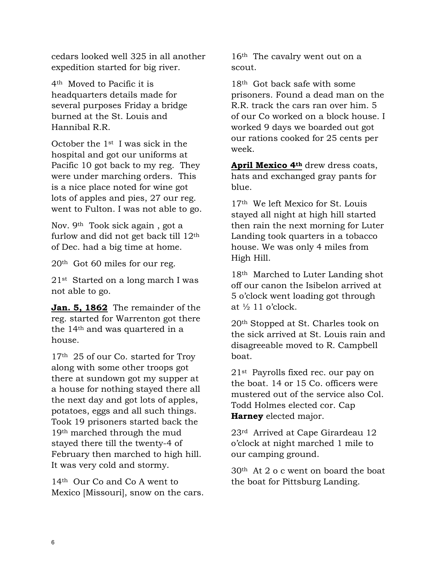cedars looked well 325 in all another expedition started for big river.

4th Moved to Pacific it is headquarters details made for several purposes Friday a bridge burned at the St. Louis and Hannibal R.R.

October the 1st I was sick in the hospital and got our uniforms at Pacific 10 got back to my reg. They were under marching orders. This is a nice place noted for wine got lots of apples and pies, 27 our reg. went to Fulton. I was not able to go.

Nov. 9th Took sick again , got a furlow and did not get back till 12th of Dec. had a big time at home.

20th Got 60 miles for our reg.

21st Started on a long march I was not able to go.

**Jan. 5, 1862** The remainder of the reg. started for Warrenton got there the 14th and was quartered in a house.

17<sup>th</sup> 25 of our Co. started for Troy along with some other troops got there at sundown got my supper at a house for nothing stayed there all the next day and got lots of apples, potatoes, eggs and all such things. Took 19 prisoners started back the 19th marched through the mud stayed there till the twenty-4 of February then marched to high hill. It was very cold and stormy.

14th Our Co and Co A went to Mexico [Missouri], snow on the cars. 16th The cavalry went out on a scout.

18th Got back safe with some prisoners. Found a dead man on the R.R. track the cars ran over him. 5 of our Co worked on a block house. I worked 9 days we boarded out got our rations cooked for 25 cents per week.

**April Mexico 4th** drew dress coats, hats and exchanged gray pants for blue.

17th We left Mexico for St. Louis stayed all night at high hill started then rain the next morning for Luter Landing took quarters in a tobacco house. We was only 4 miles from High Hill.

18th Marched to Luter Landing shot off our canon the Isibelon arrived at 5 o'clock went loading got through at  $\frac{1}{2}$  11 o'clock.

20th Stopped at St. Charles took on the sick arrived at St. Louis rain and disagreeable moved to R. Campbell boat.

21st Payrolls fixed rec. our pay on the boat. 14 or 15 Co. officers were mustered out of the service also Col. Todd Holmes elected cor. Cap **Harney** elected major.

23rd Arrived at Cape Girardeau 12 o'clock at night marched 1 mile to our camping ground.

30th At 2 o c went on board the boat the boat for Pittsburg Landing.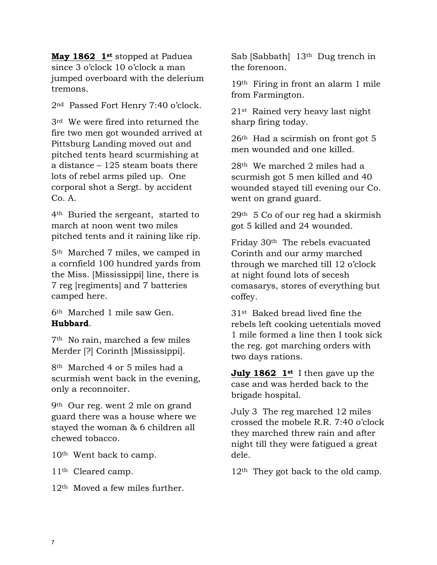**May 1862 1st** stopped at Paduea since 3 o'clock 10 o'clock a man jumped overboard with the delerium tremons.

2nd Passed Fort Henry 7:40 o'clock.

3rd We were fired into returned the fire two men got wounded arrived at Pittsburg Landing moved out and pitched tents heard scurmishing at a distance – 125 steam boats there lots of rebel arms piled up. One corporal shot a Sergt. by accident Co. A.

4th Buried the sergeant, started to march at noon went two miles pitched tents and it raining like rip.

5th Marched 7 miles, we camped in a cornfield 100 hundred yards from the Miss. [Mississippi] line, there is 7 reg [regiments] and 7 batteries camped here.

6th Marched 1 mile saw Gen. **Hubbard**.

7th No rain, marched a few miles Merder [?] Corinth [Mississippi].

8th Marched 4 or 5 miles had a scurmish went back in the evening, only a reconnoiter.

9th Our reg. went 2 mle on grand guard there was a house where we stayed the woman & 6 children all chewed tobacco.

10th Went back to camp.

11th Cleared camp.

12th Moved a few miles further.

Sab [Sabbath] 13<sup>th</sup> Dug trench in the forenoon.

19th Firing in front an alarm 1 mile from Farmington.

21st Rained very heavy last night sharp firing today.

26th Had a scirmish on front got 5 men wounded and one killed.

28th We marched 2 miles had a scurmish got 5 men killed and 40 wounded stayed till evening our Co. went on grand guard.

29th 5 Co of our reg had a skirmish got 5 killed and 24 wounded.

Friday 30th The rebels evacuated Corinth and our army marched through we marched till 12 o'clock at night found lots of secesh comasarys, stores of everything but coffey.

31st Baked bread lived fine the rebels left cooking uetentials moved 1 mile formed a line then I took sick the reg. got marching orders with two days rations.

**July 1862 1st** I then gave up the case and was herded back to the brigade hospital.

July 3 The reg marched 12 miles crossed the mobele R.R. 7:40 o'clock they marched threw rain and after night till they were fatigued a great dele.

 $12<sup>th</sup>$  They got back to the old camp.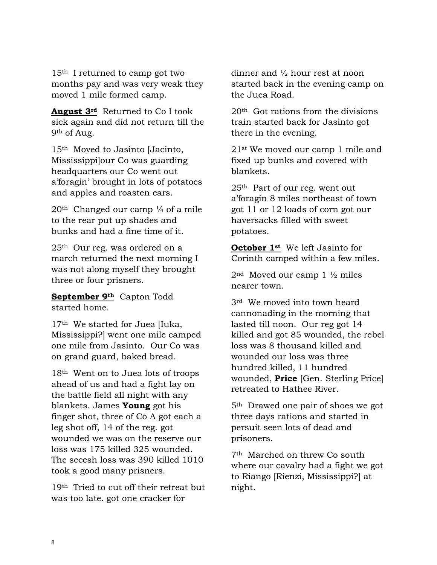15th I returned to camp got two months pay and was very weak they moved 1 mile formed camp.

**August 3rd** Returned to Co I took sick again and did not return till the 9th of Aug.

15th Moved to Jasinto [Jacinto, Mississippi]our Co was guarding headquarters our Co went out a'foragin' brought in lots of potatoes and apples and roasten ears.

 $20<sup>th</sup>$  Changed our camp  $\frac{1}{4}$  of a mile to the rear put up shades and bunks and had a fine time of it.

25th Our reg. was ordered on a march returned the next morning I was not along myself they brought three or four prisners.

**September 9th** Capton Todd started home.

17th We started for Juea [Iuka, Mississippi?] went one mile camped one mile from Jasinto. Our Co was on grand guard, baked bread.

18th Went on to Juea lots of troops ahead of us and had a fight lay on the battle field all night with any blankets. James **Young** got his finger shot, three of Co A got each a leg shot off, 14 of the reg. got wounded we was on the reserve our loss was 175 killed 325 wounded. The secesh loss was 390 killed 1010 took a good many prisners.

19th Tried to cut off their retreat but was too late. got one cracker for

dinner and ½ hour rest at noon started back in the evening camp on the Juea Road.

20th Got rations from the divisions train started back for Jasinto got there in the evening.

21st We moved our camp 1 mile and fixed up bunks and covered with blankets.

25th Part of our reg. went out a'foragin 8 miles northeast of town got 11 or 12 loads of corn got our haversacks filled with sweet potatoes.

**October 1st** We left Jasinto for Corinth camped within a few miles.

 $2<sup>nd</sup>$  Moved our camp 1  $\frac{1}{2}$  miles nearer town.

3rd We moved into town heard cannonading in the morning that lasted till noon. Our reg got 14 killed and got 85 wounded, the rebel loss was 8 thousand killed and wounded our loss was three hundred killed, 11 hundred wounded, **Price** [Gen. Sterling Price] retreated to Hathee River.

5th Drawed one pair of shoes we got three days rations and started in persuit seen lots of dead and prisoners.

7th Marched on threw Co south where our cavalry had a fight we got to Riango [Rienzi, Mississippi?] at night.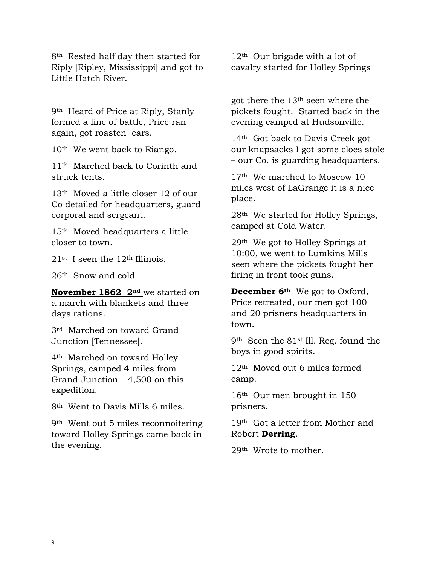8<sup>th</sup> Rested half day then started for Riply [Ripley, Mississippi] and got to Little Hatch River.

9th Heard of Price at Riply, Stanly formed a line of battle, Price ran again, got roasten ears.

10th We went back to Riango.

11th Marched back to Corinth and struck tents.

13th Moved a little closer 12 of our Co detailed for headquarters, guard corporal and sergeant.

15th Moved headquarters a little closer to town.

21st I seen the 12th Illinois.

26th Snow and cold

**November 1862 2nd** we started on a march with blankets and three days rations.

3rd Marched on toward Grand Junction [Tennessee].

4th Marched on toward Holley Springs, camped 4 miles from Grand Junction – 4,500 on this expedition.

8th Went to Davis Mills 6 miles.

9th Went out 5 miles reconnoitering toward Holley Springs came back in the evening.

12th Our brigade with a lot of cavalry started for Holley Springs

got there the 13th seen where the pickets fought. Started back in the evening camped at Hudsonville.

14th Got back to Davis Creek got our knapsacks I got some cloes stole – our Co. is guarding headquarters.

17th We marched to Moscow 10 miles west of LaGrange it is a nice place.

28th We started for Holley Springs, camped at Cold Water.

29th We got to Holley Springs at 10:00, we went to Lumkins Mills seen where the pickets fought her firing in front took guns.

**December 6th** We got to Oxford, Price retreated, our men got 100 and 20 prisners headquarters in town.

9th Seen the 81st Ill. Reg. found the boys in good spirits.

12th Moved out 6 miles formed camp.

16th Our men brought in 150 prisners.

19th Got a letter from Mother and Robert **Derring**.

29th Wrote to mother.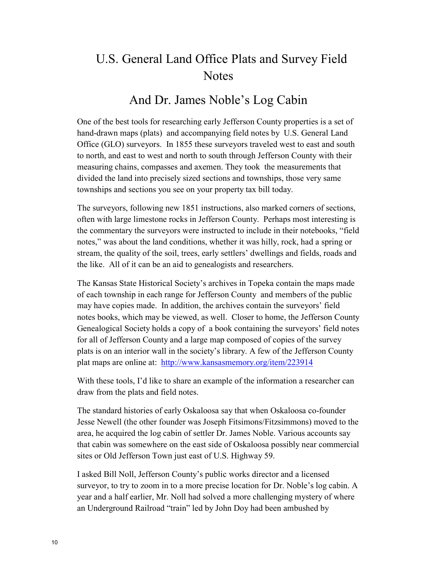# U.S. General Land Office Plats and Survey Field **Notes**

## And Dr. James Noble's Log Cabin

One of the best tools for researching early Jefferson County properties is a set of hand-drawn maps (plats) and accompanying field notes by U.S. General Land Office (GLO) surveyors. In 1855 these surveyors traveled west to east and south to north, and east to west and north to south through Jefferson County with their measuring chains, compasses and axemen. They took the measurements that divided the land into precisely sized sections and townships, those very same townships and sections you see on your property tax bill today.

The surveyors, following new 1851 instructions, also marked corners of sections, often with large limestone rocks in Jefferson County. Perhaps most interesting is the commentary the surveyors were instructed to include in their notebooks, "field notes," was about the land conditions, whether it was hilly, rock, had a spring or stream, the quality of the soil, trees, early settlers' dwellings and fields, roads and the like. All of it can be an aid to genealogists and researchers.

The Kansas State Historical Society's archives in Topeka contain the maps made of each township in each range for Jefferson County and members of the public may have copies made. In addition, the archives contain the surveyors' field notes books, which may be viewed, as well. Closer to home, the Jefferson County Genealogical Society holds a copy of a book containing the surveyors' field notes for all of Jefferson County and a large map composed of copies of the survey plats is on an interior wall in the society's library. A few of the Jefferson County plat maps are online at: <http://www.kansasmemory.org/item/223914>

With these tools, I'd like to share an example of the information a researcher can draw from the plats and field notes.

The standard histories of early Oskaloosa say that when Oskaloosa co-founder Jesse Newell (the other founder was Joseph Fitsimons/Fitzsimmons) moved to the area, he acquired the log cabin of settler Dr. James Noble. Various accounts say that cabin was somewhere on the east side of Oskaloosa possibly near commercial sites or Old Jefferson Town just east of U.S. Highway 59.

I asked Bill Noll, Jefferson County's public works director and a licensed surveyor, to try to zoom in to a more precise location for Dr. Noble's log cabin. A year and a half earlier, Mr. Noll had solved a more challenging mystery of where an Underground Railroad "train" led by John Doy had been ambushed by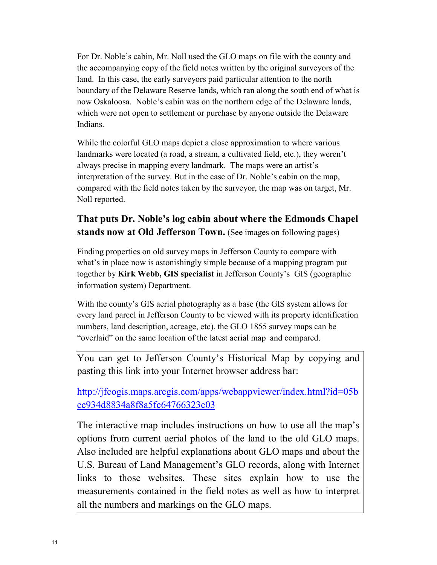For Dr. Noble's cabin, Mr. Noll used the GLO maps on file with the county and the accompanying copy of the field notes written by the original surveyors of the land. In this case, the early surveyors paid particular attention to the north boundary of the Delaware Reserve lands, which ran along the south end of what is now Oskaloosa. Noble's cabin was on the northern edge of the Delaware lands, which were not open to settlement or purchase by anyone outside the Delaware Indians.

While the colorful GLO maps depict a close approximation to where various landmarks were located (a road, a stream, a cultivated field, etc.), they weren't always precise in mapping every landmark. The maps were an artist's interpretation of the survey. But in the case of Dr. Noble's cabin on the map, compared with the field notes taken by the surveyor, the map was on target, Mr. Noll reported.

## **That puts Dr. Noble's log cabin about where the Edmonds Chapel stands now at Old Jefferson Town.** (See images on following pages)

Finding properties on old survey maps in Jefferson County to compare with what's in place now is astonishingly simple because of a mapping program put together by **Kirk Webb, GIS specialist** in Jefferson County's GIS (geographic information system) Department.

With the county's GIS aerial photography as a base (the GIS system allows for every land parcel in Jefferson County to be viewed with its property identification numbers, land description, acreage, etc), the GLO 1855 survey maps can be "overlaid" on the same location of the latest aerial map and compared.

You can get to Jefferson County's Historical Map by copying and pasting this link into your Internet browser address bar:

[http://jfcogis.maps.arcgis.com/apps/webappviewer/index.html?id=05b](http://jfcogis.maps.arcgis.com/apps/webappviewer/index.html?id=05bcc934d8834a8f8a5fc64766323c03) [cc934d8834a8f8a5fc64766323c03](http://jfcogis.maps.arcgis.com/apps/webappviewer/index.html?id=05bcc934d8834a8f8a5fc64766323c03)

The interactive map includes instructions on how to use all the map's options from current aerial photos of the land to the old GLO maps. Also included are helpful explanations about GLO maps and about the U.S. Bureau of Land Management's GLO records, along with Internet links to those websites. These sites explain how to use the measurements contained in the field notes as well as how to interpret all the numbers and markings on the GLO maps.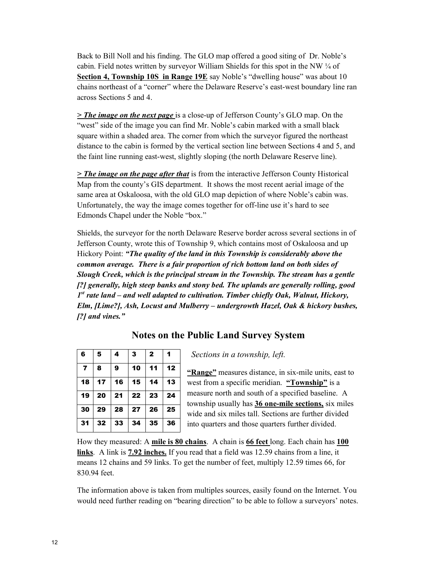Back to Bill Noll and his finding. The GLO map offered a good siting of Dr. Noble's cabin. Field notes written by surveyor William Shields for this spot in the NW ¼ of **Section 4, Township 10S in Range 19E** say Noble's "dwelling house" was about 10 chains northeast of a "corner" where the Delaware Reserve's east-west boundary line ran across Sections 5 and 4.

*> The image on the next page* is a close-up of Jefferson County's GLO map. On the "west" side of the image you can find Mr. Noble's cabin marked with a small black square within a shaded area. The corner from which the surveyor figured the northeast distance to the cabin is formed by the vertical section line between Sections 4 and 5, and the faint line running east-west, slightly sloping (the north Delaware Reserve line).

*> The image on the page after that* is from the interactive Jefferson County Historical Map from the county's GIS department. It shows the most recent aerial image of the same area at Oskaloosa, with the old GLO map depiction of where Noble's cabin was. Unfortunately, the way the image comes together for off-line use it's hard to see Edmonds Chapel under the Noble "box."

Shields, the surveyor for the north Delaware Reserve border across several sections in of Jefferson County, wrote this of Township 9, which contains most of Oskaloosa and up Hickory Point: *"The quality of the land in this Township is considerably above the common average. There is a fair proportion of rich bottom land on both sides of Slough Creek, which is the principal stream in the Township. The stream has a gentle [?] generally, high steep banks and stony bed. The uplands are generally rolling, good 1st rate land – and well adapted to cultivation. Timber chiefly Oak, Walnut, Hickory, Elm, [Lime?], Ash, Locust and Mulberry – undergrowth Hazel, Oak & hickory bushes, [?] and vines."* 

## **Notes on the Public Land Survey System**

| 6              | 5  | 4  | 3  | $\mathbf{2}$    | 1  |
|----------------|----|----|----|-----------------|----|
| $\overline{7}$ | 8  | 9  | 10 | 11              | 12 |
| 18             | 17 | 16 | 15 | 14              | 13 |
| 19             | 20 | 21 | 22 | 23              | 24 |
| 30             | 29 | 28 | 27 | $\overline{26}$ | 25 |
| 31             | 32 | 33 | 34 | 35              | 36 |

*Sections in a township, left.*

**"Range"** measures distance, in six-mile units, east to west from a specific meridian. **"Township"** is a measure north and south of a specified baseline. A township usually has **36 one-mile sections,** six miles wide and six miles tall. Sections are further divided into quarters and those quarters further divided.

How they measured: A **mile is 80 chains**. A chain is **66 feet** long. Each chain has **100 links**. A link is **7.92 inches.** If you read that a field was 12.59 chains from a line, it means 12 chains and 59 links. To get the number of feet, multiply 12.59 times 66, for 830.94 feet.

The information above is taken from multiples sources, easily found on the Internet. You would need further reading on "bearing direction" to be able to follow a surveyors' notes.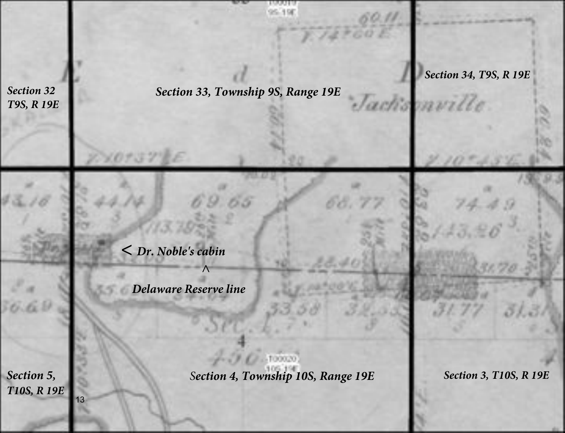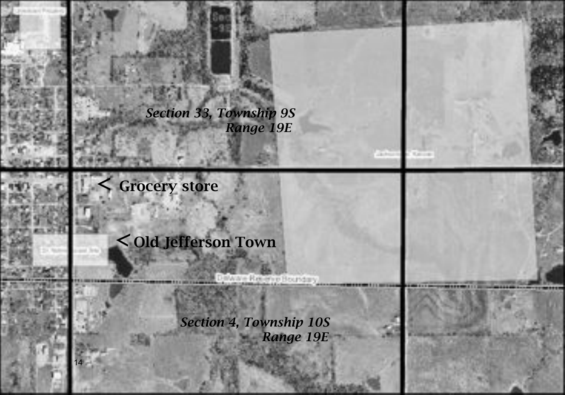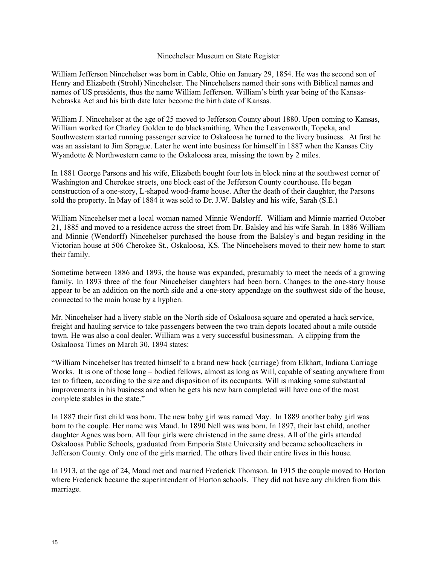#### Nincehelser Museum on State Register

William Jefferson Nincehelser was born in Cable, Ohio on January 29, 1854. He was the second son of Henry and Elizabeth (Strohl) Nincehelser. The Nincehelsers named their sons with Biblical names and names of US presidents, thus the name William Jefferson. William's birth year being of the Kansas-Nebraska Act and his birth date later become the birth date of Kansas.

William J. Nincehelser at the age of 25 moved to Jefferson County about 1880. Upon coming to Kansas, William worked for Charley Golden to do blacksmithing. When the Leavenworth, Topeka, and Southwestern started running passenger service to Oskaloosa he turned to the livery business. At first he was an assistant to Jim Sprague. Later he went into business for himself in 1887 when the Kansas City Wyandotte & Northwestern came to the Oskaloosa area, missing the town by 2 miles.

In 1881 George Parsons and his wife, Elizabeth bought four lots in block nine at the southwest corner of Washington and Cherokee streets, one block east of the Jefferson County courthouse. He began construction of a one-story, L-shaped wood-frame house. After the death of their daughter, the Parsons sold the property. In May of 1884 it was sold to Dr. J.W. Balsley and his wife, Sarah (S.E.)

William Nincehelser met a local woman named Minnie Wendorff. William and Minnie married October 21, 1885 and moved to a residence across the street from Dr. Balsley and his wife Sarah. In 1886 William and Minnie (Wendorff) Nincehelser purchased the house from the Balsley's and began residing in the Victorian house at 506 Cherokee St., Oskaloosa, KS. The Nincehelsers moved to their new home to start their family.

Sometime between 1886 and 1893, the house was expanded, presumably to meet the needs of a growing family. In 1893 three of the four Nincehelser daughters had been born. Changes to the one-story house appear to be an addition on the north side and a one-story appendage on the southwest side of the house, connected to the main house by a hyphen.

Mr. Nincehelser had a livery stable on the North side of Oskaloosa square and operated a hack service, freight and hauling service to take passengers between the two train depots located about a mile outside town. He was also a coal dealer. William was a very successful businessman. A clipping from the Oskaloosa Times on March 30, 1894 states:

"William Nincehelser has treated himself to a brand new hack (carriage) from Elkhart, Indiana Carriage Works. It is one of those long – bodied fellows, almost as long as Will, capable of seating anywhere from ten to fifteen, according to the size and disposition of its occupants. Will is making some substantial improvements in his business and when he gets his new barn completed will have one of the most complete stables in the state."

In 1887 their first child was born. The new baby girl was named May. In 1889 another baby girl was born to the couple. Her name was Maud. In 1890 Nell was was born. In 1897, their last child, another daughter Agnes was born. All four girls were christened in the same dress. All of the girls attended Oskaloosa Public Schools, graduated from Emporia State University and became schoolteachers in Jefferson County. Only one of the girls married. The others lived their entire lives in this house.

In 1913, at the age of 24, Maud met and married Frederick Thomson. In 1915 the couple moved to Horton where Frederick became the superintendent of Horton schools. They did not have any children from this marriage.